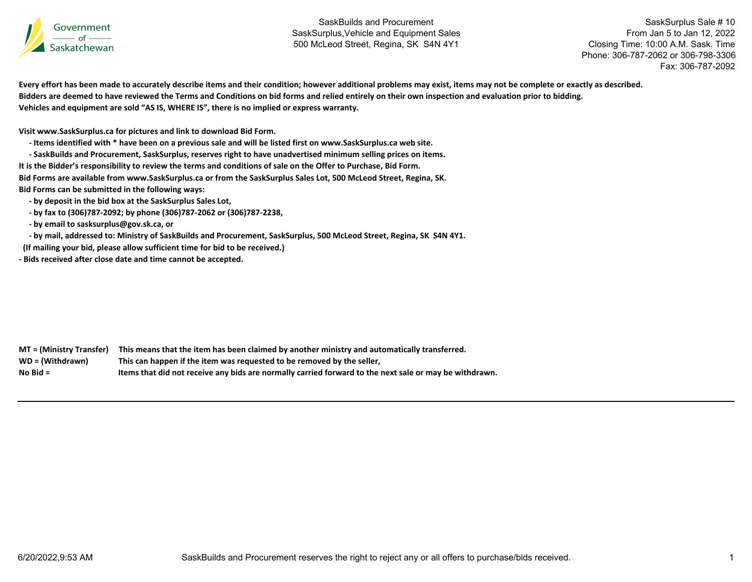

SaskSurplus Sale # 10 From Jan 5 to Jan 12, 2022 Closing Time: 10:00 A.M. Sask. Time Phone: 306-787-2062 or 306-798-3306Fax: 306-787-2092

Every effort has been made to accurately describe items and their condition; however additional problems may exist, items may not be complete or exactly as described. Bidders are deemed to have reviewed the Terms and Conditions on bid forms and relied entirely on their own inspection and evaluation prior to bidding. **Vehicles and equipment are sold "AS IS, WHERE IS", there is no implied or express warranty.**

**Visit www.SaskSurplus.ca for pictures and link to download Bid Form.**

- Items identified with \* have been on a previous sale and will be listed first on www.SaskSurplus.ca web site.

- SaskBuilds and Procurement, SaskSurplus, reserves right to have unadvertised minimum selling prices on items.

It is the Bidder's responsibility to review the terms and conditions of sale on the Offer to Purchase, Bid Form.

Bid Forms are available from www.SaskSurplus.ca or from the SaskSurplus Sales Lot, 500 McLeod Street, Regina, SK.

**Bid Forms can be submitted in the following ways:**

 **‐ by deposit in the bid box at the SaskSurplus Sales Lot,**

 **‐ by fax to (306)787‐2092; by phone (306)787‐2062 or (306)787‐2238,**

 **‐ by email to sasksurplus@gov.sk.ca, or**

- by mail, addressed to: Ministry of SaskBuilds and Procurement, SaskSurplus, 500 McLeod Street, Regina, SK S4N 4Y1.

**(If mailing your bid, please allow sufficient time for bid to be received.)**

**‐ Bids received after close date and time cannot be accepted.**

MT = (Ministry Transfer) This means that the item has been claimed by another ministry and automatically transferred. WD = (Withdrawn) **<sup>=</sup> (Withdrawn) This can happen if the item was requested to be removed by the seller, No**Items that did not receive any bids are normally carried forward to the next sale or may be withdrawn.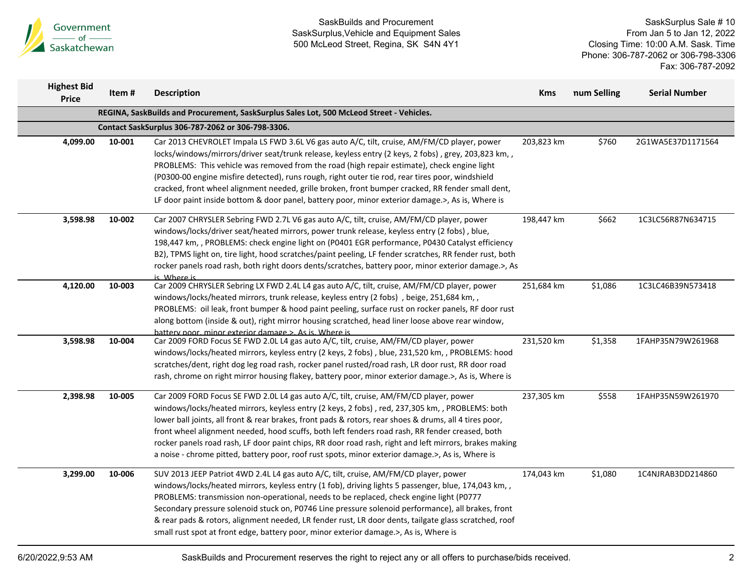

SaskSurplus Sale # 10 From Jan 5 to Jan 12, 2022 Closing Time: 10:00 A.M. Sask. Time Phone: 306-787-2062 or 306-798-3306 Fax: 306-787-2092

| <b>Highest Bid</b><br><b>Price</b> | Item#  | <b>Description</b>                                                                                                                                                                                                                                                                                                                                                                                                                                                                                                                                                                                                 | <b>Kms</b> | num Selling | <b>Serial Number</b> |
|------------------------------------|--------|--------------------------------------------------------------------------------------------------------------------------------------------------------------------------------------------------------------------------------------------------------------------------------------------------------------------------------------------------------------------------------------------------------------------------------------------------------------------------------------------------------------------------------------------------------------------------------------------------------------------|------------|-------------|----------------------|
|                                    |        | REGINA, SaskBuilds and Procurement, SaskSurplus Sales Lot, 500 McLeod Street - Vehicles.                                                                                                                                                                                                                                                                                                                                                                                                                                                                                                                           |            |             |                      |
|                                    |        | Contact SaskSurplus 306-787-2062 or 306-798-3306.                                                                                                                                                                                                                                                                                                                                                                                                                                                                                                                                                                  |            |             |                      |
| 4,099.00                           | 10-001 | Car 2013 CHEVROLET Impala LS FWD 3.6L V6 gas auto A/C, tilt, cruise, AM/FM/CD player, power<br>locks/windows/mirrors/driver seat/trunk release, keyless entry (2 keys, 2 fobs), grey, 203,823 km,,<br>PROBLEMS: This vehicle was removed from the road (high repair estimate), check engine light<br>(P0300-00 engine misfire detected), runs rough, right outer tie rod, rear tires poor, windshield<br>cracked, front wheel alignment needed, grille broken, front bumper cracked, RR fender small dent,<br>LF door paint inside bottom & door panel, battery poor, minor exterior damage.>, As is, Where is     | 203,823 km | \$760       | 2G1WA5E37D1171564    |
| 3,598.98                           | 10-002 | Car 2007 CHRYSLER Sebring FWD 2.7L V6 gas auto A/C, tilt, cruise, AM/FM/CD player, power<br>windows/locks/driver seat/heated mirrors, power trunk release, keyless entry (2 fobs), blue,<br>198,447 km, , PROBLEMS: check engine light on (P0401 EGR performance, P0430 Catalyst efficiency<br>B2), TPMS light on, tire light, hood scratches/paint peeling, LF fender scratches, RR fender rust, both<br>rocker panels road rash, both right doors dents/scratches, battery poor, minor exterior damage.>, As<br>is Where is                                                                                      | 198,447 km | \$662       | 1C3LC56R87N634715    |
| 4,120.00                           | 10-003 | Car 2009 CHRYSLER Sebring LX FWD 2.4L L4 gas auto A/C, tilt, cruise, AM/FM/CD player, power<br>windows/locks/heated mirrors, trunk release, keyless entry (2 fobs), beige, 251,684 km,,<br>PROBLEMS: oil leak, front bumper & hood paint peeling, surface rust on rocker panels, RF door rust<br>along bottom (inside & out), right mirror housing scratched, head liner loose above rear window,<br>hattery poor, minor exterior damage.>. As is, Where is                                                                                                                                                        | 251,684 km | \$1,086     | 1C3LC46B39N573418    |
| 3,598.98                           | 10-004 | Car 2009 FORD Focus SE FWD 2.0L L4 gas auto A/C, tilt, cruise, AM/FM/CD player, power<br>windows/locks/heated mirrors, keyless entry (2 keys, 2 fobs), blue, 231,520 km,, PROBLEMS: hood<br>scratches/dent, right dog leg road rash, rocker panel rusted/road rash, LR door rust, RR door road<br>rash, chrome on right mirror housing flakey, battery poor, minor exterior damage.>, As is, Where is                                                                                                                                                                                                              | 231,520 km | \$1,358     | 1FAHP35N79W261968    |
| 2,398.98                           | 10-005 | Car 2009 FORD Focus SE FWD 2.0L L4 gas auto A/C, tilt, cruise, AM/FM/CD player, power<br>windows/locks/heated mirrors, keyless entry (2 keys, 2 fobs), red, 237,305 km,, PROBLEMS: both<br>lower ball joints, all front & rear brakes, front pads & rotors, rear shoes & drums, all 4 tires poor,<br>front wheel alignment needed, hood scuffs, both left fenders road rash, RR fender creased, both<br>rocker panels road rash, LF door paint chips, RR door road rash, right and left mirrors, brakes making<br>a noise - chrome pitted, battery poor, roof rust spots, minor exterior damage.>, As is, Where is | 237,305 km | \$558       | 1FAHP35N59W261970    |
| 3,299.00                           | 10-006 | SUV 2013 JEEP Patriot 4WD 2.4L L4 gas auto A/C, tilt, cruise, AM/FM/CD player, power<br>windows/locks/heated mirrors, keyless entry (1 fob), driving lights 5 passenger, blue, 174,043 km, ,<br>PROBLEMS: transmission non-operational, needs to be replaced, check engine light (P0777<br>Secondary pressure solenoid stuck on, P0746 Line pressure solenoid performance), all brakes, front<br>& rear pads & rotors, alignment needed, LR fender rust, LR door dents, tailgate glass scratched, roof<br>small rust spot at front edge, battery poor, minor exterior damage.>, As is, Where is                    | 174,043 km | \$1,080     | 1C4NJRAB3DD214860    |

6/20/2022,9:53 AM SaskBuilds and Procurement reserves the right to reject any or all offers to purchase/bids received. 2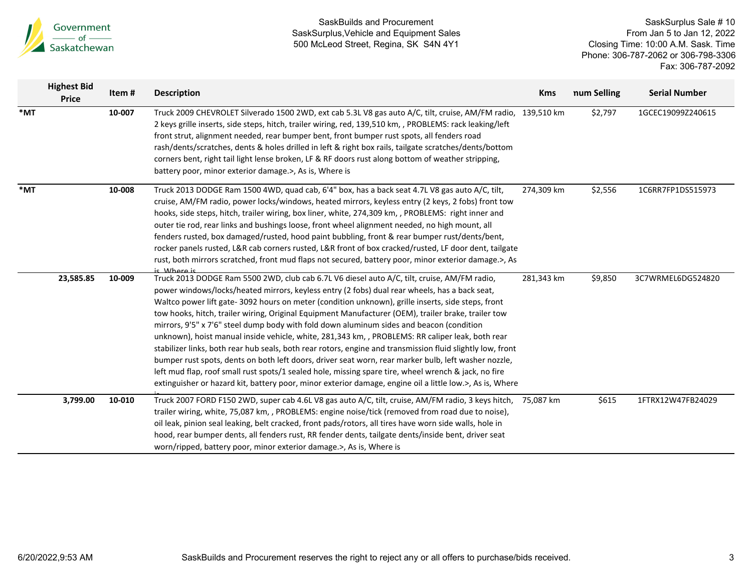

|                   | <b>Highest Bid</b><br><b>Price</b> | Item#  | <b>Description</b>                                                                                                                                                                                                                                                                                                                                                                                                                                                                                                                                                                                                                                                                                                                                                                                                                                                                                                                                                                                                                                  | <b>Kms</b> | num Selling | <b>Serial Number</b> |
|-------------------|------------------------------------|--------|-----------------------------------------------------------------------------------------------------------------------------------------------------------------------------------------------------------------------------------------------------------------------------------------------------------------------------------------------------------------------------------------------------------------------------------------------------------------------------------------------------------------------------------------------------------------------------------------------------------------------------------------------------------------------------------------------------------------------------------------------------------------------------------------------------------------------------------------------------------------------------------------------------------------------------------------------------------------------------------------------------------------------------------------------------|------------|-------------|----------------------|
| $*_{\mathsf{MT}}$ |                                    | 10-007 | Truck 2009 CHEVROLET Silverado 1500 2WD, ext cab 5.3L V8 gas auto A/C, tilt, cruise, AM/FM radio, 139,510 km<br>2 keys grille inserts, side steps, hitch, trailer wiring, red, 139,510 km, , PROBLEMS: rack leaking/left<br>front strut, alignment needed, rear bumper bent, front bumper rust spots, all fenders road<br>rash/dents/scratches, dents & holes drilled in left & right box rails, tailgate scratches/dents/bottom<br>corners bent, right tail light lense broken, LF & RF doors rust along bottom of weather stripping,<br>battery poor, minor exterior damage.>, As is, Where is                                                                                                                                                                                                                                                                                                                                                                                                                                                    |            | \$2,797     | 1GCEC19099Z240615    |
| $*$ MT            |                                    | 10-008 | Truck 2013 DODGE Ram 1500 4WD, quad cab, 6'4" box, has a back seat 4.7L V8 gas auto A/C, tilt,<br>cruise, AM/FM radio, power locks/windows, heated mirrors, keyless entry (2 keys, 2 fobs) front tow<br>hooks, side steps, hitch, trailer wiring, box liner, white, 274,309 km, , PROBLEMS: right inner and<br>outer tie rod, rear links and bushings loose, front wheel alignment needed, no high mount, all<br>fenders rusted, box damaged/rusted, hood paint bubbling, front & rear bumper rust/dents/bent,<br>rocker panels rusted, L&R cab corners rusted, L&R front of box cracked/rusted, LF door dent, tailgate<br>rust, both mirrors scratched, front mud flaps not secured, battery poor, minor exterior damage.>, As<br>ic Whore is                                                                                                                                                                                                                                                                                                      | 274,309 km | \$2,556     | 1C6RR7FP1DS515973    |
|                   | 23,585.85                          | 10-009 | Truck 2013 DODGE Ram 5500 2WD, club cab 6.7L V6 diesel auto A/C, tilt, cruise, AM/FM radio,<br>power windows/locks/heated mirrors, keyless entry (2 fobs) dual rear wheels, has a back seat,<br>Waltco power lift gate- 3092 hours on meter (condition unknown), grille inserts, side steps, front<br>tow hooks, hitch, trailer wiring, Original Equipment Manufacturer (OEM), trailer brake, trailer tow<br>mirrors, 9'5" x 7'6" steel dump body with fold down aluminum sides and beacon (condition<br>unknown), hoist manual inside vehicle, white, 281,343 km, , PROBLEMS: RR caliper leak, both rear<br>stabilizer links, both rear hub seals, both rear rotors, engine and transmission fluid slightly low, front<br>bumper rust spots, dents on both left doors, driver seat worn, rear marker bulb, left washer nozzle,<br>left mud flap, roof small rust spots/1 sealed hole, missing spare tire, wheel wrench & jack, no fire<br>extinguisher or hazard kit, battery poor, minor exterior damage, engine oil a little low.>, As is, Where | 281,343 km | \$9,850     | 3C7WRMEL6DG524820    |
|                   | 3,799.00                           | 10-010 | Truck 2007 FORD F150 2WD, super cab 4.6L V8 gas auto A/C, tilt, cruise, AM/FM radio, 3 keys hitch,<br>trailer wiring, white, 75,087 km, , PROBLEMS: engine noise/tick (removed from road due to noise),<br>oil leak, pinion seal leaking, belt cracked, front pads/rotors, all tires have worn side walls, hole in<br>hood, rear bumper dents, all fenders rust, RR fender dents, tailgate dents/inside bent, driver seat<br>worn/ripped, battery poor, minor exterior damage.>, As is, Where is                                                                                                                                                                                                                                                                                                                                                                                                                                                                                                                                                    | 75,087 km  | \$615       | 1FTRX12W47FB24029    |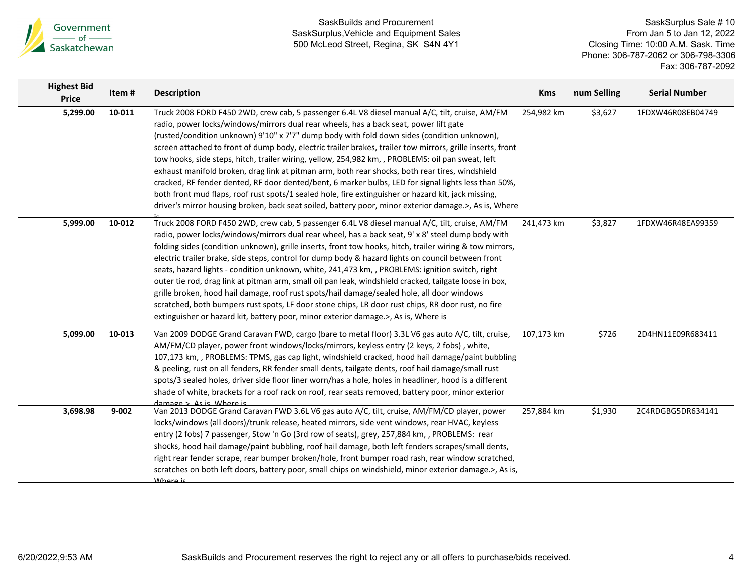

| <b>Highest Bid</b><br><b>Price</b> | Item#     | <b>Description</b>                                                                                                                                                                                                                                                                                                                                                                                                                                                                                                                                                                                                                                                                                                                                                                                                                                                                                                                   | <b>Kms</b> | num Selling | <b>Serial Number</b> |
|------------------------------------|-----------|--------------------------------------------------------------------------------------------------------------------------------------------------------------------------------------------------------------------------------------------------------------------------------------------------------------------------------------------------------------------------------------------------------------------------------------------------------------------------------------------------------------------------------------------------------------------------------------------------------------------------------------------------------------------------------------------------------------------------------------------------------------------------------------------------------------------------------------------------------------------------------------------------------------------------------------|------------|-------------|----------------------|
| 5,299.00                           | 10-011    | Truck 2008 FORD F450 2WD, crew cab, 5 passenger 6.4L V8 diesel manual A/C, tilt, cruise, AM/FM<br>radio, power locks/windows/mirrors dual rear wheels, has a back seat, power lift gate<br>(rusted/condition unknown) 9'10" x 7'7" dump body with fold down sides (condition unknown),<br>screen attached to front of dump body, electric trailer brakes, trailer tow mirrors, grille inserts, front<br>tow hooks, side steps, hitch, trailer wiring, yellow, 254,982 km, , PROBLEMS: oil pan sweat, left<br>exhaust manifold broken, drag link at pitman arm, both rear shocks, both rear tires, windshield<br>cracked, RF fender dented, RF door dented/bent, 6 marker bulbs, LED for signal lights less than 50%,<br>both front mud flaps, roof rust spots/1 sealed hole, fire extinguisher or hazard kit, jack missing,<br>driver's mirror housing broken, back seat soiled, battery poor, minor exterior damage.>, As is, Where | 254,982 km | \$3,627     | 1FDXW46R08EB04749    |
| 5,999.00                           | 10-012    | Truck 2008 FORD F450 2WD, crew cab, 5 passenger 6.4L V8 diesel manual A/C, tilt, cruise, AM/FM<br>radio, power locks/windows/mirrors dual rear wheel, has a back seat, 9' x 8' steel dump body with<br>folding sides (condition unknown), grille inserts, front tow hooks, hitch, trailer wiring & tow mirrors,<br>electric trailer brake, side steps, control for dump body & hazard lights on council between front<br>seats, hazard lights - condition unknown, white, 241,473 km, , PROBLEMS: ignition switch, right<br>outer tie rod, drag link at pitman arm, small oil pan leak, windshield cracked, tailgate loose in box,<br>grille broken, hood hail damage, roof rust spots/hail damage/sealed hole, all door windows<br>scratched, both bumpers rust spots, LF door stone chips, LR door rust chips, RR door rust, no fire<br>extinguisher or hazard kit, battery poor, minor exterior damage.>, As is, Where is         | 241,473 km | \$3,827     | 1FDXW46R48EA99359    |
| 5,099.00                           | 10-013    | Van 2009 DODGE Grand Caravan FWD, cargo (bare to metal floor) 3.3L V6 gas auto A/C, tilt, cruise,<br>AM/FM/CD player, power front windows/locks/mirrors, keyless entry (2 keys, 2 fobs), white,<br>107,173 km, , PROBLEMS: TPMS, gas cap light, windshield cracked, hood hail damage/paint bubbling<br>& peeling, rust on all fenders, RR fender small dents, tailgate dents, roof hail damage/small rust<br>spots/3 sealed holes, driver side floor liner worn/has a hole, holes in headliner, hood is a different<br>shade of white, brackets for a roof rack on roof, rear seats removed, battery poor, minor exterior<br>damage > As is Where is                                                                                                                                                                                                                                                                                 | 107,173 km | \$726       | 2D4HN11E09R683411    |
| 3,698.98                           | $9 - 002$ | Van 2013 DODGE Grand Caravan FWD 3.6L V6 gas auto A/C, tilt, cruise, AM/FM/CD player, power<br>locks/windows (all doors)/trunk release, heated mirrors, side vent windows, rear HVAC, keyless<br>entry (2 fobs) 7 passenger, Stow 'n Go (3rd row of seats), grey, 257,884 km, , PROBLEMS: rear<br>shocks, hood hail damage/paint bubbling, roof hail damage, both left fenders scrapes/small dents,<br>right rear fender scrape, rear bumper broken/hole, front bumper road rash, rear window scratched,<br>scratches on both left doors, battery poor, small chips on windshield, minor exterior damage.>, As is,<br>Where is                                                                                                                                                                                                                                                                                                       | 257,884 km | \$1,930     | 2C4RDGBG5DR634141    |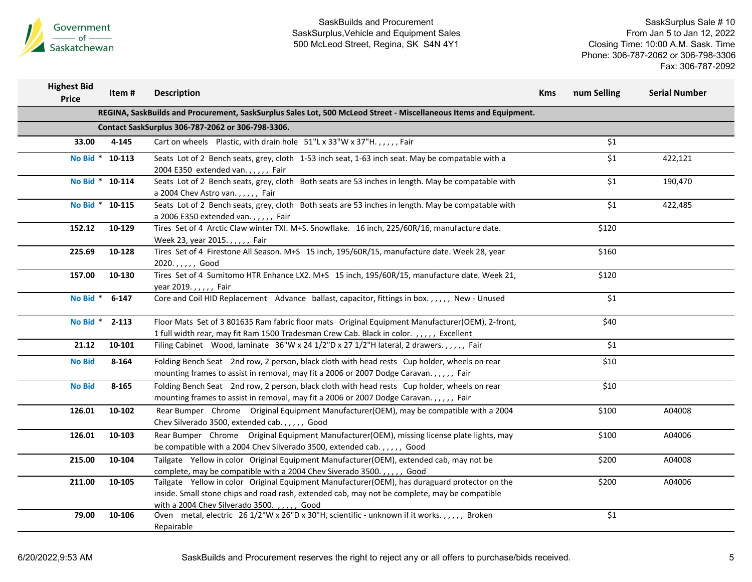

| <b>Highest Bid</b><br><b>Price</b>                                                                                | Item#     | <b>Description</b>                                                                                                                                                                                                                                | <b>Kms</b> | num Selling | <b>Serial Number</b> |  |  |  |  |  |
|-------------------------------------------------------------------------------------------------------------------|-----------|---------------------------------------------------------------------------------------------------------------------------------------------------------------------------------------------------------------------------------------------------|------------|-------------|----------------------|--|--|--|--|--|
| REGINA, SaskBuilds and Procurement, SaskSurplus Sales Lot, 500 McLeod Street - Miscellaneous Items and Equipment. |           |                                                                                                                                                                                                                                                   |            |             |                      |  |  |  |  |  |
| Contact SaskSurplus 306-787-2062 or 306-798-3306.                                                                 |           |                                                                                                                                                                                                                                                   |            |             |                      |  |  |  |  |  |
| 33.00                                                                                                             | 4-145     | Cart on wheels Plastic, with drain hole 51"L x 33"W x 37"H.,,,,, Fair                                                                                                                                                                             |            | \$1         |                      |  |  |  |  |  |
| No Bid * 10-113                                                                                                   |           | Seats Lot of 2 Bench seats, grey, cloth 1-53 inch seat, 1-63 inch seat. May be compatable with a<br>2004 E350 extended van.,,,,, Fair                                                                                                             |            | \$1         | 422,121              |  |  |  |  |  |
| No Bid * 10-114                                                                                                   |           | Seats Lot of 2 Bench seats, grey, cloth Both seats are 53 inches in length. May be compatable with<br>a 2004 Chev Astro van.,,,,, Fair                                                                                                            |            | \$1         | 190,470              |  |  |  |  |  |
| No Bid * 10-115                                                                                                   |           | Seats Lot of 2 Bench seats, grey, cloth Both seats are 53 inches in length. May be compatable with<br>a 2006 E350 extended van.,,,,, Fair                                                                                                         |            | \$1         | 422,485              |  |  |  |  |  |
| 152.12                                                                                                            | 10-129    | Tires Set of 4 Arctic Claw winter TXI. M+S. Snowflake. 16 inch, 225/60R/16, manufacture date.<br>Week 23, year 2015.,,,,,, Fair                                                                                                                   |            | \$120       |                      |  |  |  |  |  |
| 225.69                                                                                                            | 10-128    | Tires Set of 4 Firestone All Season. M+S 15 inch, 195/60R/15, manufacture date. Week 28, year<br>2020.,,,,,, Good                                                                                                                                 |            | \$160       |                      |  |  |  |  |  |
| 157.00                                                                                                            | 10-130    | Tires Set of 4 Sumitomo HTR Enhance LX2. M+S 15 inch, 195/60R/15, manufacture date. Week 21,<br>year 2019.,,,,, Fair                                                                                                                              |            | \$120       |                      |  |  |  |  |  |
| No Bid *                                                                                                          | $6 - 147$ | Core and Coil HID Replacement Advance ballast, capacitor, fittings in box.,,,,, New - Unused                                                                                                                                                      |            | \$1         |                      |  |  |  |  |  |
| No Bid *                                                                                                          | $2 - 113$ | Floor Mats Set of 3 801635 Ram fabric floor mats Original Equipment Manufacturer(OEM), 2-front,<br>1 full width rear, may fit Ram 1500 Tradesman Crew Cab. Black in color.,,,,, Excellent                                                         |            | \$40        |                      |  |  |  |  |  |
| 21.12                                                                                                             | 10-101    | Filing Cabinet Wood, laminate 36"W x 24 1/2"D x 27 1/2"H lateral, 2 drawers.,,,,, Fair                                                                                                                                                            |            | \$1         |                      |  |  |  |  |  |
| <b>No Bid</b>                                                                                                     | 8-164     | Folding Bench Seat 2nd row, 2 person, black cloth with head rests Cup holder, wheels on rear<br>mounting frames to assist in removal, may fit a 2006 or 2007 Dodge Caravan.,,,,, Fair                                                             |            | \$10        |                      |  |  |  |  |  |
| <b>No Bid</b>                                                                                                     | $8 - 165$ | Folding Bench Seat 2nd row, 2 person, black cloth with head rests Cup holder, wheels on rear<br>mounting frames to assist in removal, may fit a 2006 or 2007 Dodge Caravan.,,,,, Fair                                                             |            | \$10        |                      |  |  |  |  |  |
| 126.01                                                                                                            | 10-102    | Rear Bumper Chrome Original Equipment Manufacturer (OEM), may be compatible with a 2004<br>Chev Silverado 3500, extended cab.,,,,, Good                                                                                                           |            | \$100       | A04008               |  |  |  |  |  |
| 126.01                                                                                                            | 10-103    | Rear Bumper Chrome Original Equipment Manufacturer(OEM), missing license plate lights, may<br>be compatible with a 2004 Chev Silverado 3500, extended cab.,,,,, Good                                                                              |            | \$100       | A04006               |  |  |  |  |  |
| 215.00                                                                                                            | 10-104    | Tailgate Yellow in color Original Equipment Manufacturer(OEM), extended cab, may not be<br>complete, may be compatible with a 2004 Chev Siverado 3500.,,,,, Good                                                                                  |            | \$200       | A04008               |  |  |  |  |  |
| 211.00                                                                                                            | 10-105    | Tailgate Yellow in color Original Equipment Manufacturer(OEM), has duraguard protector on the<br>inside. Small stone chips and road rash, extended cab, may not be complete, may be compatible<br>with a 2004 Chev Silverado 3500. , , , , , Good |            | \$200       | A04006               |  |  |  |  |  |
| 79.00                                                                                                             | 10-106    | Oven metal, electric 26 1/2"W x 26"D x 30"H, scientific - unknown if it works.,,,,,, Broken<br>Repairable                                                                                                                                         |            | \$1         |                      |  |  |  |  |  |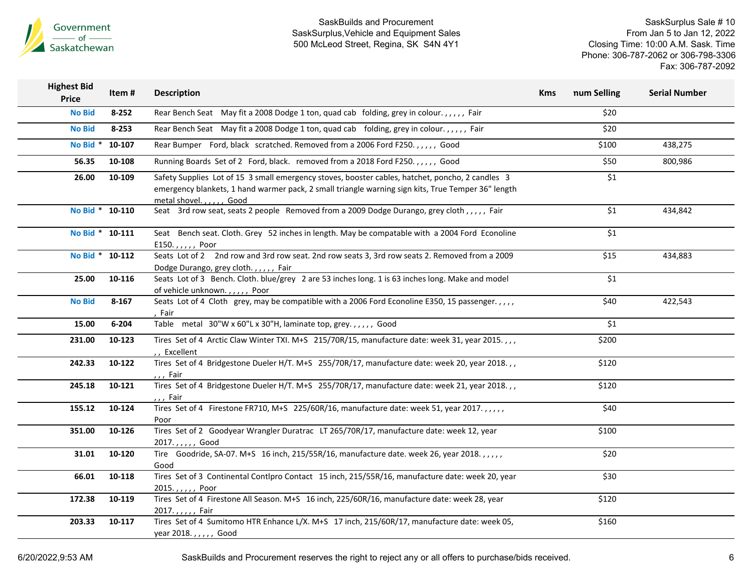

SaskSurplus Sale # 10 From Jan 5 to Jan 12, 2022 Closing Time: 10:00 A.M. Sask. Time Phone: 306-787-2062 or 306-798-3306 Fax: 306-787-2092

| <b>Highest Bid</b><br><b>Price</b> | Item#           | <b>Description</b>                                                                                                                                                                                                                | <b>Kms</b> | num Selling        | <b>Serial Number</b> |
|------------------------------------|-----------------|-----------------------------------------------------------------------------------------------------------------------------------------------------------------------------------------------------------------------------------|------------|--------------------|----------------------|
| <b>No Bid</b>                      | $8 - 252$       | Rear Bench Seat May fit a 2008 Dodge 1 ton, quad cab folding, grey in colour.,,,,, Fair                                                                                                                                           |            | \$20               |                      |
| <b>No Bid</b>                      | $8 - 253$       | Rear Bench Seat May fit a 2008 Dodge 1 ton, quad cab folding, grey in colour.,,,,, Fair                                                                                                                                           |            | \$20               |                      |
| No Bid *                           | 10-107          | Rear Bumper Ford, black scratched. Removed from a 2006 Ford F250.,,,,, Good                                                                                                                                                       |            | \$100              | 438,275              |
| 56.35                              | 10-108          | Running Boards Set of 2 Ford, black. removed from a 2018 Ford F250.,,,,, Good                                                                                                                                                     |            | \$50               | 800,986              |
| 26.00                              | 10-109          | Safety Supplies Lot of 15 3 small emergency stoves, booster cables, hatchet, poncho, 2 candles 3<br>emergency blankets, 1 hand warmer pack, 2 small triangle warning sign kits, True Temper 36" length<br>metal shovel.,,,,, Good |            | \$1                |                      |
|                                    | No Bid * 10-110 | Seat 3rd row seat, seats 2 people Removed from a 2009 Dodge Durango, grey cloth,,,,, Fair                                                                                                                                         |            | \$1                | 434,842              |
|                                    | No Bid * 10-111 | Seat Bench seat. Cloth. Grey 52 inches in length. May be compatable with a 2004 Ford Econoline<br>E150.,,,,, Poor                                                                                                                 |            | \$1                |                      |
|                                    | No Bid * 10-112 | Seats Lot of 2 2nd row and 3rd row seat. 2nd row seats 3, 3rd row seats 2. Removed from a 2009<br>Dodge Durango, grey cloth.,,,,, Fair                                                                                            |            | \$15               | 434,883              |
| 25.00                              | 10-116          | Seats Lot of 3 Bench. Cloth. blue/grey 2 are 53 inches long. 1 is 63 inches long. Make and model<br>of vehicle unknown.,,,,, Poor                                                                                                 |            | $\overline{\xi_1}$ |                      |
| <b>No Bid</b>                      | $8 - 167$       | Seats Lot of 4 Cloth grey, may be compatible with a 2006 Ford Econoline E350, 15 passenger.,,,,<br>, Fair                                                                                                                         |            | \$40               | 422,543              |
| 15.00                              | $6 - 204$       | Table metal 30"W x 60"L x 30"H, laminate top, grey.,,,,, Good                                                                                                                                                                     |            | \$1                |                      |
| 231.00                             | 10-123          | Tires Set of 4 Arctic Claw Winter TXI. M+S 215/70R/15, manufacture date: week 31, year 2015.,,,<br>,, Excellent                                                                                                                   |            | \$200              |                      |
| 242.33                             | 10-122          | Tires Set of 4 Bridgestone Dueler H/T. M+S 255/70R/17, manufacture date: week 20, year 2018.,<br>,,, Fair                                                                                                                         |            | \$120              |                      |
| 245.18                             | 10-121          | Tires Set of 4 Bridgestone Dueler H/T. M+S 255/70R/17, manufacture date: week 21, year 2018.,<br>, , , Fair                                                                                                                       |            | \$120              |                      |
| 155.12                             | 10-124          | Tires Set of 4 Firestone FR710, M+S 225/60R/16, manufacture date: week 51, year 2017.<br>Poor                                                                                                                                     |            | \$40               |                      |
| 351.00                             | 10-126          | Tires Set of 2 Goodyear Wrangler Duratrac LT 265/70R/17, manufacture date: week 12, year<br>2017.,,,,, Good                                                                                                                       |            | \$100              |                      |
| 31.01                              | 10-120          | Tire Goodride, SA-07. M+S 16 inch, 215/55R/16, manufacture date. week 26, year 2018.,,,,,<br>Good                                                                                                                                 |            | \$20               |                      |
| 66.01                              | 10-118          | Tires Set of 3 Continental Contlpro Contact 15 inch, 215/55R/16, manufacture date: week 20, year<br>2015.,,,,, Poor                                                                                                               |            | \$30               |                      |
| 172.38                             | 10-119          | Tires Set of 4 Firestone All Season. M+S 16 inch, 225/60R/16, manufacture date: week 28, year<br>2017.,,,,, Fair                                                                                                                  |            | \$120              |                      |
| 203.33                             | 10-117          | Tires Set of 4 Sumitomo HTR Enhance L/X. M+S 17 inch, 215/60R/17, manufacture date: week 05,<br>year 2018.,,,,,, Good                                                                                                             |            | \$160              |                      |
|                                    |                 |                                                                                                                                                                                                                                   |            |                    |                      |

6/20/2022,9:53 AM SaskBuilds and Procurement reserves the right to reject any or all offers to purchase/bids received. 6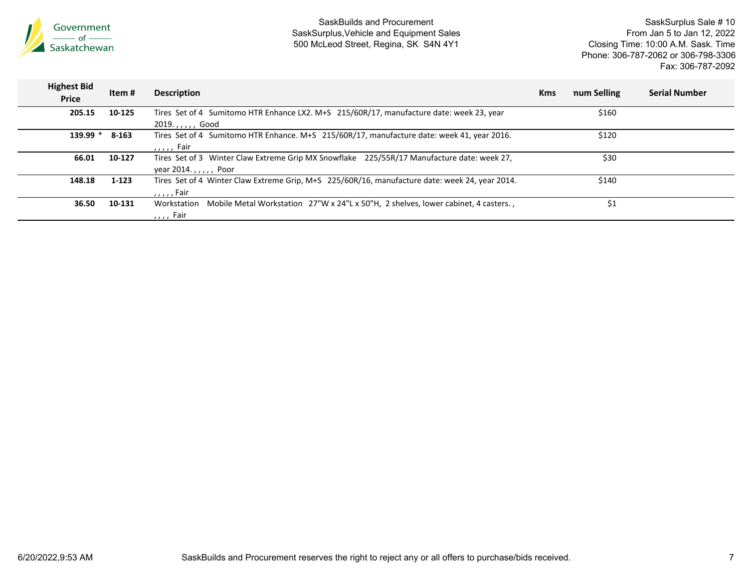

| <b>Highest Bid</b><br><b>Price</b> | ltem #  | <b>Description</b>                                                                                | <b>Kms</b> | num Selling | <b>Serial Number</b> |
|------------------------------------|---------|---------------------------------------------------------------------------------------------------|------------|-------------|----------------------|
| 205.15                             | 10-125  | Tires Set of 4 Sumitomo HTR Enhance LX2. M+S 215/60R/17, manufacture date: week 23, year          |            | \$160       |                      |
|                                    |         | 2019.,,,,,, Good                                                                                  |            |             |                      |
| $139.99*$                          | 8-163   | Tires Set of 4 Sumitomo HTR Enhance. M+S 215/60R/17, manufacture date: week 41, year 2016.        |            | \$120       |                      |
|                                    |         | $, \ldots$ , Fair                                                                                 |            |             |                      |
| 66.01                              | 10-127  | Tires Set of 3 Winter Claw Extreme Grip MX Snowflake 225/55R/17 Manufacture date: week 27,        |            | \$30        |                      |
|                                    |         | year 2014.,,,,,, Poor                                                                             |            |             |                      |
| 148.18                             | $1-123$ | Tires Set of 4 Winter Claw Extreme Grip, M+S 225/60R/16, manufacture date: week 24, year 2014.    |            | \$140       |                      |
|                                    |         | $, \ldots$ , Fair                                                                                 |            |             |                      |
| 36.50                              | 10-131  | Mobile Metal Workstation 27"W x 24"L x 50"H, 2 shelves, lower cabinet, 4 casters.,<br>Workstation |            | \$1         |                      |
|                                    |         | $, \ldots$ Fair                                                                                   |            |             |                      |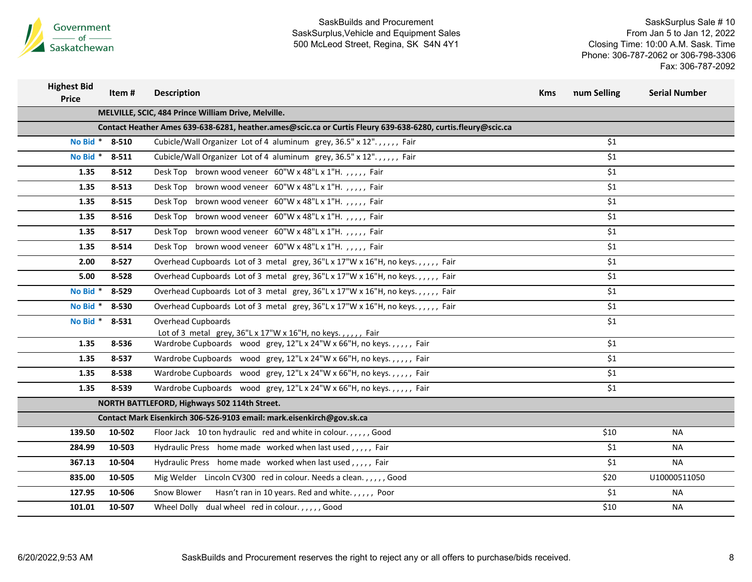

| <b>Highest Bid</b><br><b>Price</b> | Item #         | <b>Description</b>                                                                                                                  | <b>Kms</b> | num Selling | <b>Serial Number</b> |
|------------------------------------|----------------|-------------------------------------------------------------------------------------------------------------------------------------|------------|-------------|----------------------|
|                                    |                | MELVILLE, SCIC, 484 Prince William Drive, Melville.                                                                                 |            |             |                      |
|                                    |                | Contact Heather Ames 639-638-6281, heather.ames@scic.ca or Curtis Fleury 639-638-6280, curtis.fleury@scic.ca                        |            |             |                      |
|                                    | No Bid * 8-510 | Cubicle/Wall Organizer Lot of 4 aluminum grey, 36.5" x 12".,,,,, Fair                                                               |            | \$1         |                      |
| No Bid $*$                         | $8 - 511$      | Cubicle/Wall Organizer Lot of 4 aluminum grey, 36.5" x 12".,,,,, Fair                                                               |            | \$1         |                      |
| 1.35                               | $8 - 512$      | Desk Top brown wood veneer 60"W x 48"L x 1"H.,,,,, Fair                                                                             |            | \$1         |                      |
| 1.35                               | 8-513          | Desk Top brown wood veneer 60"W x 48"L x 1"H.,,,,, Fair                                                                             |            | \$1         |                      |
| 1.35                               | 8-515          | Desk Top brown wood veneer 60"W x 48"L x 1"H.,,,,, Fair                                                                             |            | \$1         |                      |
| 1.35                               | 8-516          | Desk Top brown wood veneer 60"W x 48"L x 1"H.,,,,, Fair                                                                             |            | \$1         |                      |
| 1.35                               | $8 - 517$      | Desk Top brown wood veneer 60"W x 48"L x 1"H.,,,,, Fair                                                                             |            | \$1         |                      |
| 1.35                               | 8-514          | Desk Top brown wood veneer 60"W x 48"L x 1"H.,,,,, Fair                                                                             |            | \$1         |                      |
| 2.00                               | $8 - 527$      | Overhead Cupboards Lot of 3 metal grey, 36"L x 17"W x 16"H, no keys.,,,,, Fair                                                      |            | \$1         |                      |
| 5.00                               | 8-528          | Overhead Cupboards Lot of 3 metal grey, 36"L x 17"W x 16"H, no keys.,,,,, Fair                                                      |            | \$1         |                      |
| No Bid $*$                         | 8-529          | Overhead Cupboards Lot of 3 metal grey, 36"L x 17"W x 16"H, no keys.,,,,, Fair                                                      |            | \$1         |                      |
| No Bid *                           | 8-530          | Overhead Cupboards Lot of 3 metal grey, 36"L x 17"W x 16"H, no keys.,,,,, Fair                                                      |            | \$1         |                      |
| No Bid * 8-531                     |                | Overhead Cupboards                                                                                                                  |            | \$1         |                      |
| 1.35                               | 8-536          | Lot of 3 metal grey, 36"L x 17"W x 16"H, no keys.,,,,, Fair<br>Wardrobe Cupboards wood grey, 12"L x 24"W x 66"H, no keys.,,,,, Fair |            | \$1         |                      |
| 1.35                               | 8-537          | Wardrobe Cupboards wood grey, 12"L x 24"W x 66"H, no keys.,,,,, Fair                                                                |            | \$1         |                      |
| 1.35                               | 8-538          | Wardrobe Cupboards wood grey, 12"L x 24"W x 66"H, no keys.,,,,, Fair                                                                |            | \$1         |                      |
| 1.35                               | 8-539          | Wardrobe Cupboards wood grey, 12"L x 24"W x 66"H, no keys.,,,,, Fair                                                                |            | \$1         |                      |
|                                    |                |                                                                                                                                     |            |             |                      |
|                                    |                | NORTH BATTLEFORD, Highways 502 114th Street.<br>Contact Mark Eisenkirch 306-526-9103 email: mark.eisenkirch@gov.sk.ca               |            |             |                      |
| 139.50                             | 10-502         | Floor Jack 10 ton hydraulic red and white in colour.,,,,,Good                                                                       |            | \$10        | NA.                  |
| 284.99                             | 10-503         | Hydraulic Press home made worked when last used,,,,, Fair                                                                           |            | \$1         | <b>NA</b>            |
| 367.13                             | 10-504         |                                                                                                                                     |            | \$1         | NA.                  |
|                                    |                | Hydraulic Press home made worked when last used,,,,, Fair                                                                           |            |             |                      |
| 835.00                             | 10-505         | Mig Welder Lincoln CV300 red in colour. Needs a clean.,,,,, Good                                                                    |            | \$20        | U10000511050         |
| 127.95                             | 10-506         | Snow Blower<br>Hasn't ran in 10 years. Red and white.,,,,,, Poor                                                                    |            | \$1         | NA                   |
| 101.01                             | 10-507         | Wheel Dolly dual wheel red in colour.,,,,,Good                                                                                      |            | \$10        | NA                   |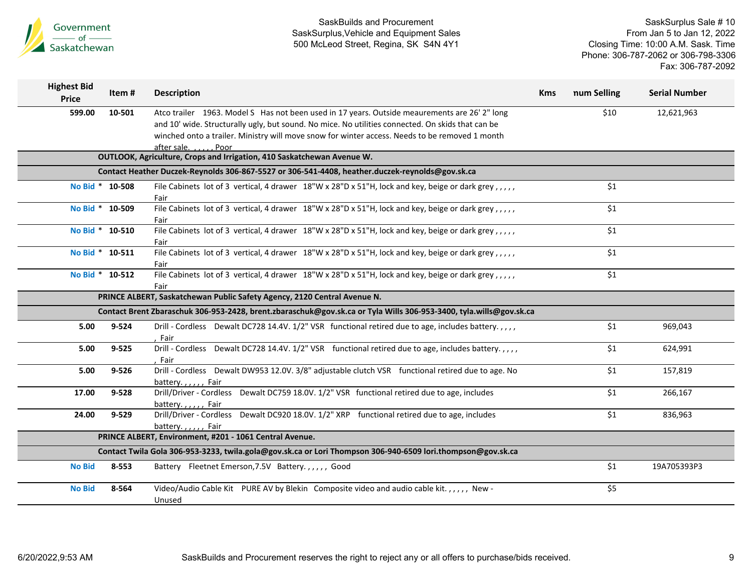

| <b>Highest Bid</b><br><b>Price</b> | Item#           | <b>Description</b>                                                                                                  | <b>Kms</b> | num Selling | <b>Serial Number</b> |
|------------------------------------|-----------------|---------------------------------------------------------------------------------------------------------------------|------------|-------------|----------------------|
| 599.00                             | 10-501          | Atco trailer 1963. Model S Has not been used in 17 years. Outside meaurements are 26' 2" long                       |            | \$10        | 12,621,963           |
|                                    |                 | and 10' wide. Structurally ugly, but sound. No mice. No utilities connected. On skids that can be                   |            |             |                      |
|                                    |                 | winched onto a trailer. Ministry will move snow for winter access. Needs to be removed 1 month                      |            |             |                      |
|                                    |                 | after sale.<br>. Poor                                                                                               |            |             |                      |
|                                    |                 | OUTLOOK, Agriculture, Crops and Irrigation, 410 Saskatchewan Avenue W.                                              |            |             |                      |
|                                    |                 | Contact Heather Duczek-Reynolds 306-867-5527 or 306-541-4408, heather.duczek-reynolds@gov.sk.ca                     |            |             |                      |
|                                    | No Bid * 10-508 | File Cabinets lot of 3 vertical, 4 drawer $18''W \times 28''D \times 51''H$ , lock and key, beige or dark grey,,,,, |            | \$1         |                      |
|                                    |                 | Fair                                                                                                                |            |             |                      |
|                                    | No Bid * 10-509 | File Cabinets lot of 3 vertical, 4 drawer $18''W \times 28''D \times 51''H$ , lock and key, beige or dark grey,,,,, |            | \$1         |                      |
|                                    |                 | Fair                                                                                                                |            |             |                      |
|                                    | No Bid * 10-510 | File Cabinets lot of 3 vertical, 4 drawer $18''W \times 28''D \times 51''H$ , lock and key, beige or dark grey,,,,, |            | \$1         |                      |
|                                    |                 | Fair                                                                                                                |            |             |                      |
|                                    | No Bid * 10-511 | File Cabinets lot of 3 vertical, 4 drawer $18''W \times 28''D \times 51''H$ , lock and key, beige or dark grey,,,,, |            | \$1         |                      |
|                                    | No Bid * 10-512 | Fair<br>File Cabinets lot of 3 vertical, 4 drawer 18"W x 28"D x 51"H, lock and key, beige or dark grey,,,,,         |            | \$1         |                      |
|                                    |                 | Fair                                                                                                                |            |             |                      |
|                                    |                 | PRINCE ALBERT, Saskatchewan Public Safety Agency, 2120 Central Avenue N.                                            |            |             |                      |
|                                    |                 | Contact Brent Zbaraschuk 306-953-2428, brent.zbaraschuk@gov.sk.ca or Tyla Wills 306-953-3400, tyla.wills@gov.sk.ca  |            |             |                      |
| 5.00                               | $9 - 524$       | Drill - Cordless Dewalt DC728 14.4V. 1/2" VSR functional retired due to age, includes battery.,,,,                  |            | \$1         | 969,043              |
|                                    |                 | Fair                                                                                                                |            |             |                      |
| 5.00                               | $9 - 525$       | Drill - Cordless Dewalt DC728 14.4V. 1/2" VSR functional retired due to age, includes battery.,,,,                  |            | \$1         | 624,991              |
|                                    |                 | Fair                                                                                                                |            |             |                      |
| 5.00                               | $9 - 526$       | Drill - Cordless Dewalt DW953 12.0V. 3/8" adjustable clutch VSR functional retired due to age. No                   |            | \$1         | 157,819              |
|                                    |                 | battery.,,,,, Fair                                                                                                  |            |             |                      |
| 17.00                              | $9 - 528$       | Drill/Driver - Cordless Dewalt DC759 18.0V. 1/2" VSR functional retired due to age, includes                        |            | \$1         | 266,167              |
|                                    |                 | battery.,,,,, Fair                                                                                                  |            |             |                      |
| 24.00                              | 9-529           | Drill/Driver - Cordless Dewalt DC920 18.0V. 1/2" XRP functional retired due to age, includes                        |            | \$1         | 836,963              |
|                                    |                 | battery.,,,,, Fair                                                                                                  |            |             |                      |
|                                    |                 | PRINCE ALBERT, Environment, #201 - 1061 Central Avenue.                                                             |            |             |                      |
|                                    |                 | Contact Twila Gola 306-953-3233, twila.gola@gov.sk.ca or Lori Thompson 306-940-6509 lori.thompson@gov.sk.ca         |            |             |                      |
| <b>No Bid</b>                      | 8-553           | Battery Fleetnet Emerson, 7.5V Battery.,,,,, Good                                                                   |            | \$1         | 19A705393P3          |
| <b>No Bid</b>                      | 8-564           | Video/Audio Cable Kit PURE AV by Blekin Composite video and audio cable kit.,,,,, New -                             |            | \$5         |                      |
|                                    |                 | Unused                                                                                                              |            |             |                      |
|                                    |                 |                                                                                                                     |            |             |                      |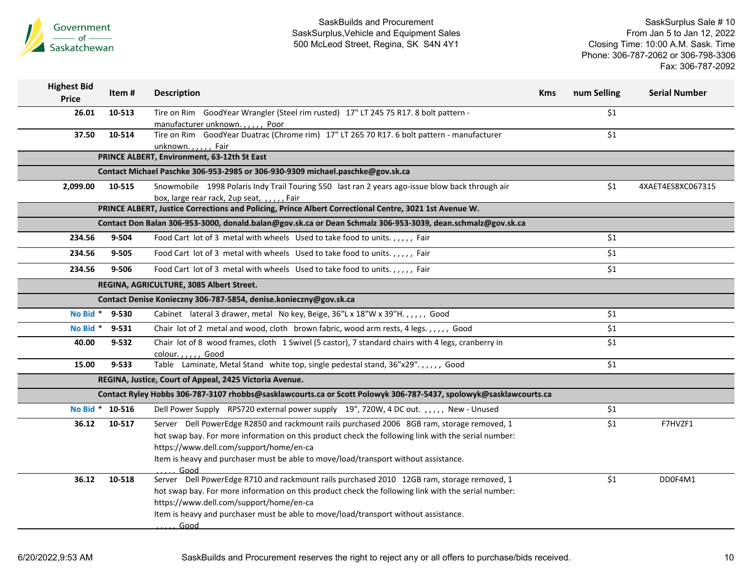

| <b>Highest Bid</b><br><b>Price</b> | Item#     | <b>Description</b>                                                                                                                                                                                                                                                                                                                          | <b>Kms</b> | num Selling | <b>Serial Number</b> |
|------------------------------------|-----------|---------------------------------------------------------------------------------------------------------------------------------------------------------------------------------------------------------------------------------------------------------------------------------------------------------------------------------------------|------------|-------------|----------------------|
| 26.01                              | 10-513    | Tire on Rim GoodYear Wrangler (Steel rim rusted) 17" LT 245 75 R17. 8 bolt pattern -<br>manufacturer unknown.,,,,, Poor                                                                                                                                                                                                                     |            | \$1         |                      |
| 37.50                              | 10-514    | Tire on Rim GoodYear Duatrac (Chrome rim) 17" LT 265 70 R17. 6 bolt pattern - manufacturer<br>unknown.,,,,, Fair                                                                                                                                                                                                                            |            | \$1         |                      |
|                                    |           | PRINCE ALBERT, Environment, 63-12th St East                                                                                                                                                                                                                                                                                                 |            |             |                      |
|                                    |           | Contact Michael Paschke 306-953-2985 or 306-930-9309 michael.paschke@gov.sk.ca                                                                                                                                                                                                                                                              |            |             |                      |
| 2,099.00                           | 10-515    | Snowmobile 1998 Polaris Indy Trail Touring 550 last ran 2 years ago-issue blow back through air                                                                                                                                                                                                                                             |            | \$1         | 4XAET4ES8XC067315    |
|                                    |           | box, large rear rack, 2up seat, , , , , , Fair                                                                                                                                                                                                                                                                                              |            |             |                      |
|                                    |           | PRINCE ALBERT, Justice Corrections and Policing, Prince Albert Correctional Centre, 3021 1st Avenue W.                                                                                                                                                                                                                                      |            |             |                      |
|                                    |           | Contact Don Balan 306-953-3000, donald.balan@gov.sk.ca or Dean Schmalz 306-953-3039, dean.schmalz@gov.sk.ca                                                                                                                                                                                                                                 |            |             |                      |
| 234.56                             | 9-504     | Food Cart lot of 3 metal with wheels Used to take food to units.,,,,, Fair                                                                                                                                                                                                                                                                  |            | \$1         |                      |
| 234.56                             | $9 - 505$ | Food Cart lot of 3 metal with wheels Used to take food to units.,,,,, Fair                                                                                                                                                                                                                                                                  |            | \$1         |                      |
| 234.56                             | 9-506     | Food Cart lot of 3 metal with wheels Used to take food to units.,,,,, Fair                                                                                                                                                                                                                                                                  |            | \$1         |                      |
|                                    |           | REGINA, AGRICULTURE, 3085 Albert Street.                                                                                                                                                                                                                                                                                                    |            |             |                      |
|                                    |           | Contact Denise Konieczny 306-787-5854, denise.konieczny@gov.sk.ca                                                                                                                                                                                                                                                                           |            |             |                      |
| No Bid $*$                         | 9-530     | Cabinet lateral 3 drawer, metal No key, Beige, 36"L x 18"W x 39"H.,,,,,, Good                                                                                                                                                                                                                                                               |            | \$1         |                      |
| No Bid *                           | 9-531     | Chair lot of 2 metal and wood, cloth brown fabric, wood arm rests, 4 legs.,,,,, Good                                                                                                                                                                                                                                                        |            | \$1         |                      |
| 40.00                              | $9 - 532$ | Chair lot of 8 wood frames, cloth 1 Swivel (5 castor), 7 standard chairs with 4 legs, cranberry in<br>colour.,,,,, Good                                                                                                                                                                                                                     |            | \$1         |                      |
| 15.00                              | $9 - 533$ | Table Laminate, Metal Stand white top, single pedestal stand, 36"x29".,,,,, Good                                                                                                                                                                                                                                                            |            | \$1         |                      |
|                                    |           | REGINA, Justice, Court of Appeal, 2425 Victoria Avenue.                                                                                                                                                                                                                                                                                     |            |             |                      |
|                                    |           | Contact Ryley Hobbs 306-787-3107 rhobbs@sasklawcourts.ca or Scott Polowyk 306-787-5437, spolowyk@sasklawcourts.ca                                                                                                                                                                                                                           |            |             |                      |
| No Bid * 10-516                    |           | Dell Power Supply RPS720 external power supply 19", 720W, 4 DC out.,,,,, New - Unused                                                                                                                                                                                                                                                       |            | \$1         |                      |
| 36.12                              | 10-517    | Server Dell PowerEdge R2850 and rackmount rails purchased 2006 8GB ram, storage removed, 1<br>hot swap bay. For more information on this product check the following link with the serial number:<br>https://www.dell.com/support/home/en-ca<br>Item is heavy and purchaser must be able to move/load/transport without assistance.<br>Good |            | \$1         | F7HVZF1              |
| 36.12                              | 10-518    | Server Dell PowerEdge R710 and rackmount rails purchased 2010 12GB ram, storage removed, 1<br>hot swap bay. For more information on this product check the following link with the serial number:<br>https://www.dell.com/support/home/en-ca<br>Item is heavy and purchaser must be able to move/load/transport without assistance.<br>Good |            | \$1         | DD0F4M1              |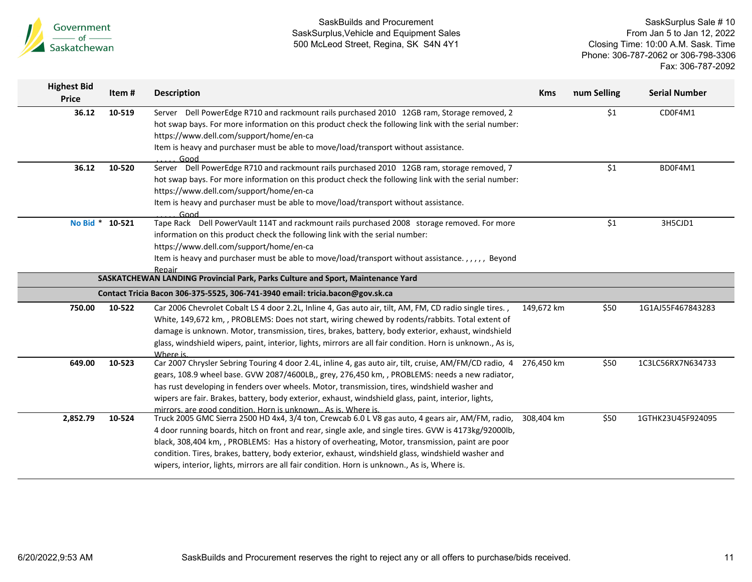

| <b>Highest Bid</b><br>Price | Item#  | <b>Description</b>                                                                                                                              | <b>Kms</b> | num Selling | <b>Serial Number</b> |
|-----------------------------|--------|-------------------------------------------------------------------------------------------------------------------------------------------------|------------|-------------|----------------------|
| 36.12                       | 10-519 | Server Dell PowerEdge R710 and rackmount rails purchased 2010 12GB ram, Storage removed, 2                                                      |            | \$1         | CD0F4M1              |
|                             |        | hot swap bays. For more information on this product check the following link with the serial number:<br>https://www.dell.com/support/home/en-ca |            |             |                      |
|                             |        | Item is heavy and purchaser must be able to move/load/transport without assistance.                                                             |            |             |                      |
|                             |        | Good                                                                                                                                            |            |             |                      |
| 36.12                       | 10-520 | Server Dell PowerEdge R710 and rackmount rails purchased 2010 12GB ram, storage removed, 7                                                      |            | \$1         | BD0F4M1              |
|                             |        | hot swap bays. For more information on this product check the following link with the serial number:                                            |            |             |                      |
|                             |        | https://www.dell.com/support/home/en-ca                                                                                                         |            |             |                      |
|                             |        | Item is heavy and purchaser must be able to move/load/transport without assistance.                                                             |            |             |                      |
|                             |        | Good                                                                                                                                            |            |             |                      |
| No Bid * 10-521             |        | Tape Rack Dell PowerVault 114T and rackmount rails purchased 2008 storage removed. For more                                                     |            | \$1         | 3H5CJD1              |
|                             |        | information on this product check the following link with the serial number:<br>https://www.dell.com/support/home/en-ca                         |            |             |                      |
|                             |        | Item is heavy and purchaser must be able to move/load/transport without assistance.,,,,, Beyond                                                 |            |             |                      |
|                             |        | <b>Repair</b>                                                                                                                                   |            |             |                      |
|                             |        | SASKATCHEWAN LANDING Provincial Park, Parks Culture and Sport, Maintenance Yard                                                                 |            |             |                      |
|                             |        | Contact Tricia Bacon 306-375-5525, 306-741-3940 email: tricia.bacon@gov.sk.ca                                                                   |            |             |                      |
| 750.00                      | 10-522 | Car 2006 Chevrolet Cobalt LS 4 door 2.2L, Inline 4, Gas auto air, tilt, AM, FM, CD radio single tires.,                                         | 149,672 km | \$50        | 1G1AJ55F467843283    |
|                             |        | White, 149,672 km, , PROBLEMS: Does not start, wiring chewed by rodents/rabbits. Total extent of                                                |            |             |                      |
|                             |        | damage is unknown. Motor, transmission, tires, brakes, battery, body exterior, exhaust, windshield                                              |            |             |                      |
|                             |        | glass, windshield wipers, paint, interior, lights, mirrors are all fair condition. Horn is unknown., As is,                                     |            |             |                      |
| 649.00                      | 10-523 | Where is.<br>Car 2007 Chrysler Sebring Touring 4 door 2.4L, inline 4, gas auto air, tilt, cruise, AM/FM/CD radio, 4                             | 276,450 km | \$50        | 1C3LC56RX7N634733    |
|                             |        | gears, 108.9 wheel base. GVW 2087/4600LB,, grey, 276,450 km, , PROBLEMS: needs a new radiator,                                                  |            |             |                      |
|                             |        | has rust developing in fenders over wheels. Motor, transmission, tires, windshield washer and                                                   |            |             |                      |
|                             |        | wipers are fair. Brakes, battery, body exterior, exhaust, windshield glass, paint, interior, lights,                                            |            |             |                      |
|                             |        | mirrors, are good condition. Horn is unknown As is. Where is.                                                                                   |            |             |                      |
| 2,852.79                    | 10-524 | Truck 2005 GMC Sierra 2500 HD 4x4, 3/4 ton, Crewcab 6.0 L V8 gas auto, 4 gears air, AM/FM, radio,                                               | 308,404 km | \$50        | 1GTHK23U45F924095    |
|                             |        | 4 door running boards, hitch on front and rear, single axle, and single tires. GVW is 4173kg/92000lb,                                           |            |             |                      |
|                             |        | black, 308,404 km, , PROBLEMS: Has a history of overheating, Motor, transmission, paint are poor                                                |            |             |                      |
|                             |        | condition. Tires, brakes, battery, body exterior, exhaust, windshield glass, windshield washer and                                              |            |             |                      |
|                             |        | wipers, interior, lights, mirrors are all fair condition. Horn is unknown., As is, Where is.                                                    |            |             |                      |
|                             |        |                                                                                                                                                 |            |             |                      |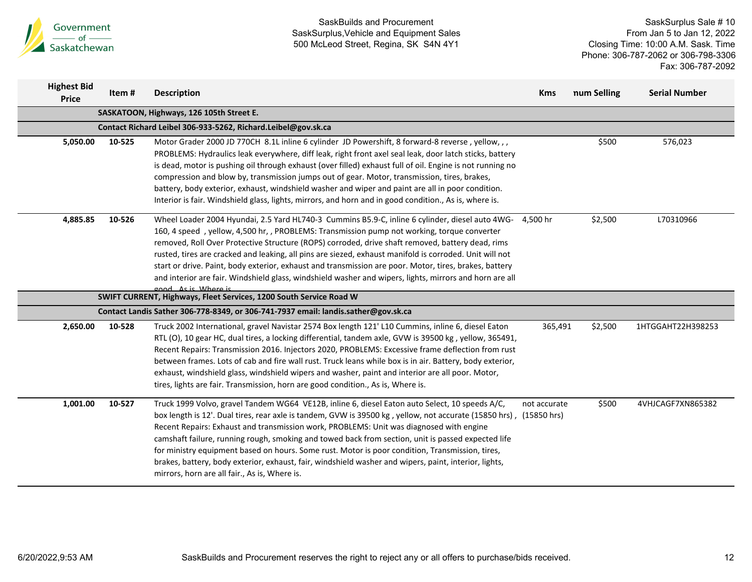

| <b>Highest Bid</b><br><b>Price</b> | Item#  | <b>Description</b>                                                                                                                                                                                                                                                                                                                                                                                                                                                                                                                                                                                                                                                                 | <b>Kms</b>   | num Selling | <b>Serial Number</b> |
|------------------------------------|--------|------------------------------------------------------------------------------------------------------------------------------------------------------------------------------------------------------------------------------------------------------------------------------------------------------------------------------------------------------------------------------------------------------------------------------------------------------------------------------------------------------------------------------------------------------------------------------------------------------------------------------------------------------------------------------------|--------------|-------------|----------------------|
|                                    |        | SASKATOON, Highways, 126 105th Street E.                                                                                                                                                                                                                                                                                                                                                                                                                                                                                                                                                                                                                                           |              |             |                      |
|                                    |        | Contact Richard Leibel 306-933-5262, Richard.Leibel@gov.sk.ca                                                                                                                                                                                                                                                                                                                                                                                                                                                                                                                                                                                                                      |              |             |                      |
| 5,050.00                           | 10-525 | Motor Grader 2000 JD 770CH 8.1L inline 6 cylinder JD Powershift, 8 forward-8 reverse, yellow,,,<br>PROBLEMS: Hydraulics leak everywhere, diff leak, right front axel seal leak, door latch sticks, battery<br>is dead, motor is pushing oil through exhaust (over filled) exhaust full of oil. Engine is not running no<br>compression and blow by, transmission jumps out of gear. Motor, transmission, tires, brakes,<br>battery, body exterior, exhaust, windshield washer and wiper and paint are all in poor condition.<br>Interior is fair. Windshield glass, lights, mirrors, and horn and in good condition., As is, where is.                                             |              | \$500       | 576,023              |
| 4,885.85                           | 10-526 | Wheel Loader 2004 Hyundai, 2.5 Yard HL740-3 Cummins B5.9-C, inline 6 cylinder, diesel auto 4WG-<br>160, 4 speed, yellow, 4,500 hr,, PROBLEMS: Transmission pump not working, torque converter<br>removed, Roll Over Protective Structure (ROPS) corroded, drive shaft removed, battery dead, rims<br>rusted, tires are cracked and leaking, all pins are siezed, exhaust manifold is corroded. Unit will not<br>start or drive. Paint, body exterior, exhaust and transmission are poor. Motor, tires, brakes, battery<br>and interior are fair. Windshield glass, windshield washer and wipers, lights, mirrors and horn are all<br>good As is Where is                           | 4,500 hr     | \$2,500     | L70310966            |
|                                    |        | SWIFT CURRENT, Highways, Fleet Services, 1200 South Service Road W                                                                                                                                                                                                                                                                                                                                                                                                                                                                                                                                                                                                                 |              |             |                      |
|                                    |        | Contact Landis Sather 306-778-8349, or 306-741-7937 email: landis.sather@gov.sk.ca                                                                                                                                                                                                                                                                                                                                                                                                                                                                                                                                                                                                 |              |             |                      |
| 2,650.00                           | 10-528 | Truck 2002 International, gravel Navistar 2574 Box length 121' L10 Cummins, inline 6, diesel Eaton<br>RTL (O), 10 gear HC, dual tires, a locking differential, tandem axle, GVW is 39500 kg, yellow, 365491,<br>Recent Repairs: Transmission 2016. Injectors 2020, PROBLEMS: Excessive frame deflection from rust<br>between frames. Lots of cab and fire wall rust. Truck leans while box is in air. Battery, body exterior,<br>exhaust, windshield glass, windshield wipers and washer, paint and interior are all poor. Motor,<br>tires, lights are fair. Transmission, horn are good condition., As is, Where is.                                                              | 365,491      | \$2,500     | 1HTGGAHT22H398253    |
| 1,001.00                           | 10-527 | Truck 1999 Volvo, gravel Tandem WG64 VE12B, inline 6, diesel Eaton auto Select, 10 speeds A/C,<br>box length is 12'. Dual tires, rear axle is tandem, GVW is 39500 kg, yellow, not accurate (15850 hrs), (15850 hrs)<br>Recent Repairs: Exhaust and transmission work, PROBLEMS: Unit was diagnosed with engine<br>camshaft failure, running rough, smoking and towed back from section, unit is passed expected life<br>for ministry equipment based on hours. Some rust. Motor is poor condition, Transmission, tires,<br>brakes, battery, body exterior, exhaust, fair, windshield washer and wipers, paint, interior, lights,<br>mirrors, horn are all fair., As is, Where is. | not accurate | \$500       | 4VHJCAGF7XN865382    |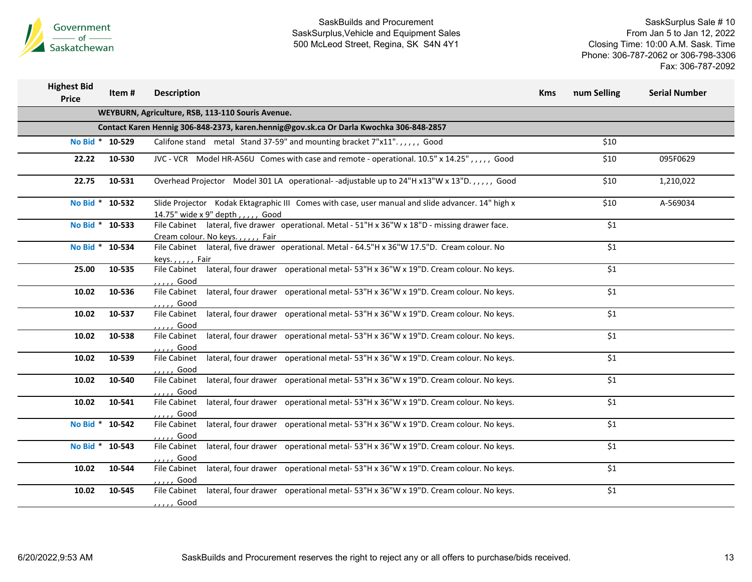

| <b>Highest Bid</b><br><b>Price</b> | Item #                                                                                  | <b>Description</b>                                                                                                                     | <b>Kms</b> | num Selling | <b>Serial Number</b> |  |  |  |  |
|------------------------------------|-----------------------------------------------------------------------------------------|----------------------------------------------------------------------------------------------------------------------------------------|------------|-------------|----------------------|--|--|--|--|
|                                    |                                                                                         | WEYBURN, Agriculture, RSB, 113-110 Souris Avenue.                                                                                      |            |             |                      |  |  |  |  |
|                                    | Contact Karen Hennig 306-848-2373, karen.hennig@gov.sk.ca Or Darla Kwochka 306-848-2857 |                                                                                                                                        |            |             |                      |  |  |  |  |
|                                    | No Bid * 10-529                                                                         | Califone stand metal Stand 37-59" and mounting bracket 7"x11".,,,,, Good                                                               |            | \$10        |                      |  |  |  |  |
| 22.22                              | 10-530                                                                                  | JVC - VCR Model HR-A56U Comes with case and remote - operational. 10.5" x 14.25",,,,, Good                                             |            | \$10        | 095F0629             |  |  |  |  |
| 22.75                              | 10-531                                                                                  | Overhead Projector Model 301 LA operational--adjustable up to 24"H x13"W x 13"D.,,,,, Good                                             |            | \$10        | 1,210,022            |  |  |  |  |
| No Bid * 10-532                    |                                                                                         | Slide Projector Kodak Ektagraphic III Comes with case, user manual and slide advancer. 14" high x<br>14.75" wide x 9" depth,,,,,, Good |            | \$10        | A-569034             |  |  |  |  |
| No Bid * 10-533                    |                                                                                         | File Cabinet lateral, five drawer operational. Metal - 51"H x 36"W x 18"D - missing drawer face.<br>Cream colour. No keys.,,,,, Fair   |            | \$1         |                      |  |  |  |  |
| No Bid * 10-534                    |                                                                                         | File Cabinet lateral, five drawer operational. Metal - 64.5"H x 36"W 17.5"D. Cream colour. No<br>keys.,,,,, Fair                       |            | \$1         |                      |  |  |  |  |
| 25.00                              | 10-535                                                                                  | File Cabinet lateral, four drawer operational metal-53"H x 36"W x 19"D. Cream colour. No keys.<br>, , , , , Good                       |            | \$1         |                      |  |  |  |  |
| 10.02                              | 10-536                                                                                  | lateral, four drawer operational metal-53"H x 36"W x 19"D. Cream colour. No keys.<br>File Cabinet<br>,,,,, Good                        |            | \$1         |                      |  |  |  |  |
| 10.02                              | 10-537                                                                                  | lateral, four drawer operational metal-53"H x 36"W x 19"D. Cream colour. No keys.<br><b>File Cabinet</b><br>, , , , , Good             |            | \$1         |                      |  |  |  |  |
| 10.02                              | 10-538                                                                                  | lateral, four drawer operational metal-53"H x 36"W x 19"D. Cream colour. No keys.<br><b>File Cabinet</b><br>, , , , , Good             |            | \$1         |                      |  |  |  |  |
| 10.02                              | 10-539                                                                                  | lateral, four drawer operational metal-53"H x 36"W x 19"D. Cream colour. No keys.<br>File Cabinet<br>, , , , , Good                    |            | \$1         |                      |  |  |  |  |
| 10.02                              | 10-540                                                                                  | lateral, four drawer operational metal-53"H x 36"W x 19"D. Cream colour. No keys.<br>File Cabinet                                      |            | \$1         |                      |  |  |  |  |
| 10.02                              | 10-541                                                                                  | Good<br>lateral, four drawer operational metal-53"H x 36"W x 19"D. Cream colour. No keys.<br>File Cabinet                              |            | \$1         |                      |  |  |  |  |
| No Bid * 10-542                    |                                                                                         | ,,,,, Good<br>lateral, four drawer operational metal-53"H x 36"W x 19"D. Cream colour. No keys.<br><b>File Cabinet</b>                 |            | \$1         |                      |  |  |  |  |
| No Bid * 10-543                    |                                                                                         | , , , , , Good<br>lateral, four drawer operational metal-53"H x 36"W x 19"D. Cream colour. No keys.<br>File Cabinet                    |            | \$1         |                      |  |  |  |  |
| 10.02                              | 10-544                                                                                  | ,,,,, Good<br>lateral, four drawer operational metal-53"H x 36"W x 19"D. Cream colour. No keys.<br>File Cabinet                        |            | \$1         |                      |  |  |  |  |
| 10.02                              | 10-545                                                                                  | . <i>.</i> Good<br>lateral, four drawer operational metal-53"H x 36"W x 19"D. Cream colour. No keys.<br>File Cabinet                   |            | \$1         |                      |  |  |  |  |
|                                    |                                                                                         | , , , , Good                                                                                                                           |            |             |                      |  |  |  |  |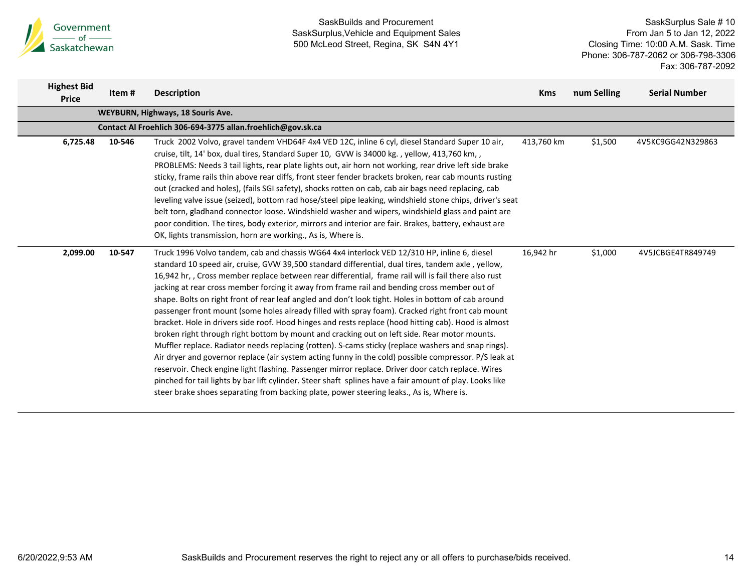

| <b>Highest Bid</b><br><b>Price</b>                          | Item #                            | <b>Description</b>                                                                                                                                                                                                                                                                                                                                                                                                                                                                                                                                                                                                                                                                                                                                                                                                                                                                                                                                                                                                                                                                                                                                                                                                                                                                                                                                        | <b>Kms</b> | num Selling | <b>Serial Number</b> |  |  |  |  |  |  |
|-------------------------------------------------------------|-----------------------------------|-----------------------------------------------------------------------------------------------------------------------------------------------------------------------------------------------------------------------------------------------------------------------------------------------------------------------------------------------------------------------------------------------------------------------------------------------------------------------------------------------------------------------------------------------------------------------------------------------------------------------------------------------------------------------------------------------------------------------------------------------------------------------------------------------------------------------------------------------------------------------------------------------------------------------------------------------------------------------------------------------------------------------------------------------------------------------------------------------------------------------------------------------------------------------------------------------------------------------------------------------------------------------------------------------------------------------------------------------------------|------------|-------------|----------------------|--|--|--|--|--|--|
|                                                             | WEYBURN, Highways, 18 Souris Ave. |                                                                                                                                                                                                                                                                                                                                                                                                                                                                                                                                                                                                                                                                                                                                                                                                                                                                                                                                                                                                                                                                                                                                                                                                                                                                                                                                                           |            |             |                      |  |  |  |  |  |  |
| Contact Al Froehlich 306-694-3775 allan.froehlich@gov.sk.ca |                                   |                                                                                                                                                                                                                                                                                                                                                                                                                                                                                                                                                                                                                                                                                                                                                                                                                                                                                                                                                                                                                                                                                                                                                                                                                                                                                                                                                           |            |             |                      |  |  |  |  |  |  |
| 6,725.48                                                    | 10-546                            | Truck 2002 Volvo, gravel tandem VHD64F 4x4 VED 12C, inline 6 cyl, diesel Standard Super 10 air,<br>cruise, tilt, 14' box, dual tires, Standard Super 10, GVW is 34000 kg., yellow, 413,760 km,,<br>PROBLEMS: Needs 3 tail lights, rear plate lights out, air horn not working, rear drive left side brake<br>sticky, frame rails thin above rear diffs, front steer fender brackets broken, rear cab mounts rusting<br>out (cracked and holes), (fails SGI safety), shocks rotten on cab, cab air bags need replacing, cab<br>leveling valve issue (seized), bottom rad hose/steel pipe leaking, windshield stone chips, driver's seat<br>belt torn, gladhand connector loose. Windshield washer and wipers, windshield glass and paint are<br>poor condition. The tires, body exterior, mirrors and interior are fair. Brakes, battery, exhaust are<br>OK, lights transmission, horn are working., As is, Where is.                                                                                                                                                                                                                                                                                                                                                                                                                                      | 413,760 km | \$1,500     | 4V5KC9GG42N329863    |  |  |  |  |  |  |
| 2,099.00                                                    | 10-547                            | Truck 1996 Volvo tandem, cab and chassis WG64 4x4 interlock VED 12/310 HP, inline 6, diesel<br>standard 10 speed air, cruise, GVW 39,500 standard differential, dual tires, tandem axle, yellow,<br>16,942 hr, , Cross member replace between rear differential, frame rail will is fail there also rust<br>jacking at rear cross member forcing it away from frame rail and bending cross member out of<br>shape. Bolts on right front of rear leaf angled and don't look tight. Holes in bottom of cab around<br>passenger front mount (some holes already filled with spray foam). Cracked right front cab mount<br>bracket. Hole in drivers side roof. Hood hinges and rests replace (hood hitting cab). Hood is almost<br>broken right through right bottom by mount and cracking out on left side. Rear motor mounts.<br>Muffler replace. Radiator needs replacing (rotten). S-cams sticky (replace washers and snap rings).<br>Air dryer and governor replace (air system acting funny in the cold) possible compressor. P/S leak at<br>reservoir. Check engine light flashing. Passenger mirror replace. Driver door catch replace. Wires<br>pinched for tail lights by bar lift cylinder. Steer shaft splines have a fair amount of play. Looks like<br>steer brake shoes separating from backing plate, power steering leaks., As is, Where is. | 16,942 hr  | \$1,000     | 4V5JCBGE4TR849749    |  |  |  |  |  |  |